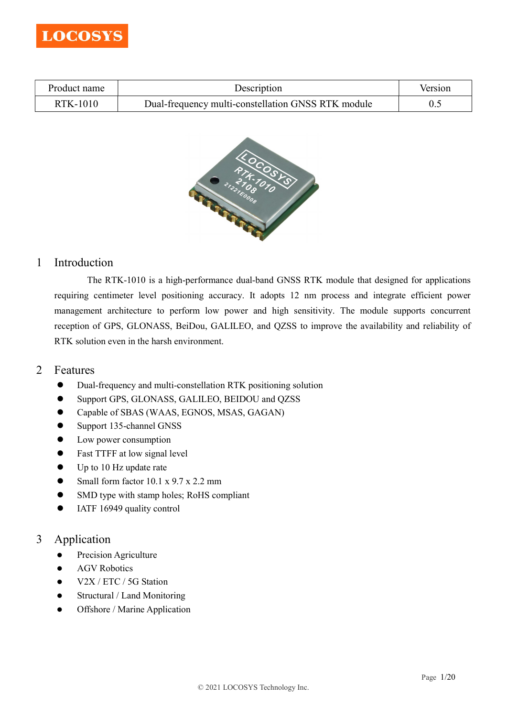

| Product name | Description                                        | Version |
|--------------|----------------------------------------------------|---------|
| RTK-1010     | Dual-frequency multi-constellation GNSS RTK module |         |



## 1 Introduction

The RTK-1010 is a high-performance dual-band GNSS RTK module that designed for applications requiring centimeter level positioning accuracy. It adopts 12 nm process and integrate efficient power management architecture to perform low power and high sensitivity. The module supports concurrent reception of GPS, GLONASS, BeiDou, GALILEO, and QZSS to improve the availability and reliability of RTK solution even in the harsh environment.

- 2 Features
	- Dual-frequency and multi-constellation RTK positioning solution
	- Support GPS, GLONASS, GALILEO, BEIDOU and QZSS
	- Capable of SBAS (WAAS, EGNOS, MSAS, GAGAN)
	- Support 135-channel GNSS
	- Low power consumption
	- Fast TTFF at low signal level
	- Up to 10 Hz update rate
	- Small form factor 10.1 x 9.7 x 2.2 mm
	- SMD type with stamp holes; RoHS compliant
	- IATF 16949 quality control

## 3 Application

- **•** Precision Agriculture
- AGV Robotics
- V2X / ETC / 5G Station
- Structural / Land Monitoring
- Offshore / Marine Application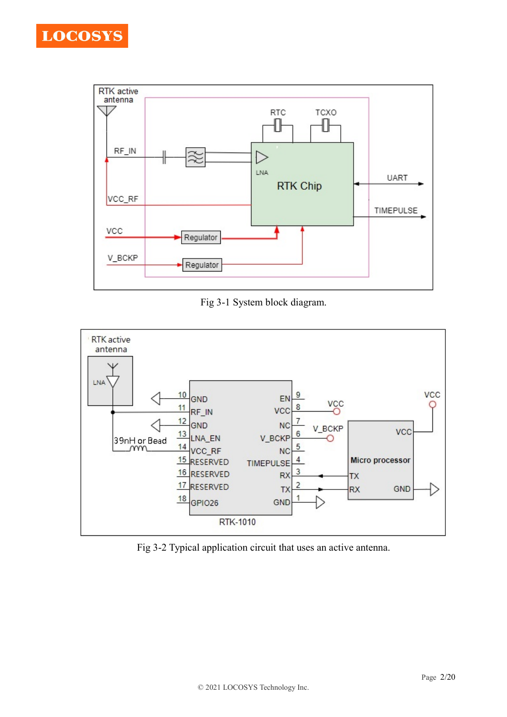



Fig 3-1 System block diagram.



Fig 3-2 Typical application circuit that uses an active antenna.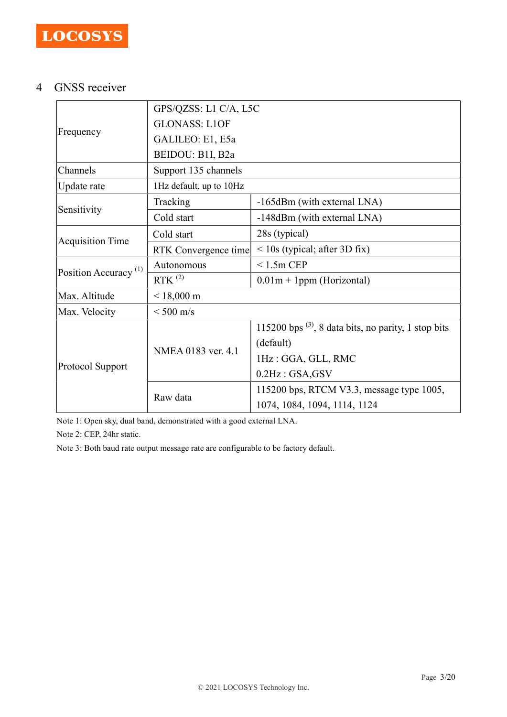# 4 GNSS receiver

|                                  | GPS/QZSS: L1 C/A, L5C   |                                                           |  |  |
|----------------------------------|-------------------------|-----------------------------------------------------------|--|--|
| Frequency                        | <b>GLONASS: L1OF</b>    |                                                           |  |  |
|                                  | GALILEO: E1, E5a        |                                                           |  |  |
|                                  | BEIDOU: B1I, B2a        |                                                           |  |  |
| Channels                         | Support 135 channels    |                                                           |  |  |
| Update rate                      | 1Hz default, up to 10Hz |                                                           |  |  |
|                                  | Tracking                | -165dBm (with external LNA)                               |  |  |
| Sensitivity                      | Cold start              | -148dBm (with external LNA)                               |  |  |
|                                  | Cold start              | 28s (typical)                                             |  |  |
| <b>Acquisition Time</b>          | RTK Convergence time    | $<$ 10s (typical; after 3D fix)                           |  |  |
|                                  | Autonomous              | $< 1.5m$ CEP                                              |  |  |
| Position Accuracy <sup>(1)</sup> | $RTK$ <sup>(2)</sup>    | $0.01m + 1ppm$ (Horizontal)                               |  |  |
| Max. Altitude                    | $< 18,000 \text{ m}$    |                                                           |  |  |
| Max. Velocity                    | $\rm < 500~m/s$         |                                                           |  |  |
| Protocol Support                 | NMEA 0183 ver. 4.1      | 115200 bps $^{(3)}$ , 8 data bits, no parity, 1 stop bits |  |  |
|                                  |                         | (default)                                                 |  |  |
|                                  |                         | 1Hz: GGA, GLL, RMC                                        |  |  |
|                                  |                         | $0.2$ Hz: GSA, GSV                                        |  |  |
|                                  |                         | 115200 bps, RTCM V3.3, message type 1005,                 |  |  |
|                                  | Raw data                | 1074, 1084, 1094, 1114, 1124                              |  |  |

Note 1: Open sky, dual band, demonstrated with a good external LNA.

Note 2: CEP, 24hr static.

Note 3: Both baud rate output message rate are configurable to be factory default.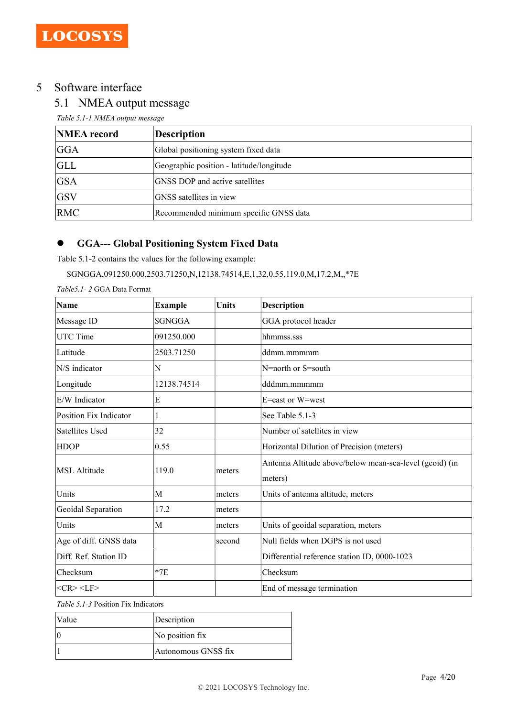## 5 Software interface

## 5.1 NMEA output message

Table 5.1-1 NMEA output message

| <b>NMEA</b> record | <b>Description</b>                       |
|--------------------|------------------------------------------|
| GGA                | Global positioning system fixed data     |
| <b>GLL</b>         | Geographic position - latitude/longitude |
| <b>GSA</b>         | GNSS DOP and active satellites           |
| <b>GSV</b>         | GNSS satellites in view                  |
| <b>RMC</b>         | Recommended minimum specific GNSS data   |

## GGA--- Global Positioning System Fixed Data

Table 5.1-2 contains the values for the following example:

#### \$GNGGA,091250.000,2503.71250,N,12138.74514,E,1,32,0.55,119.0,M,17.2,M,,\*7E

| Name                   | <b>Example</b> | Units   | <b>Description</b>                                                 |
|------------------------|----------------|---------|--------------------------------------------------------------------|
| Message ID             | <b>SGNGGA</b>  |         | GGA protocol header                                                |
| UTC Time               | 091250.000     |         | hhmmss.sss                                                         |
| Latitude               | 2503.71250     |         | ddmm.mmmmm                                                         |
| N/S indicator          | N              |         | N=north or S=south                                                 |
| Longitude              | 12138.74514    |         | dddmm.mmmmm                                                        |
| E/W Indicator          | E              |         | E=east or W=west                                                   |
| Position Fix Indicator |                |         | See Table 5.1-3                                                    |
| Satellites Used        | 32             |         | Number of satellites in view                                       |
| <b>HDOP</b>            | 0.55           |         | Horizontal Dilution of Precision (meters)                          |
| <b>MSL Altitude</b>    | 119.0          | lmeters | Antenna Altitude above/below mean-sea-level (geoid) (in<br>meters) |
| Units                  | M              | meters  | Units of antenna altitude, meters                                  |
| Geoidal Separation     | 17.2           | meters  |                                                                    |
| Units                  | Μ              | meters  | Units of geoidal separation, meters                                |
| Age of diff. GNSS data |                | second  | Null fields when DGPS is not used                                  |
| Diff. Ref. Station ID  |                |         | Differential reference station ID, 0000-1023                       |
| Checksum               | $*7E$          |         | Checksum                                                           |
| $<$ CR> $<$ LF>        |                |         | End of message termination                                         |

Table 5.1-3 Position Fix Indicators

| Value | Description         |
|-------|---------------------|
| 10    | No position fix     |
|       | Autonomous GNSS fix |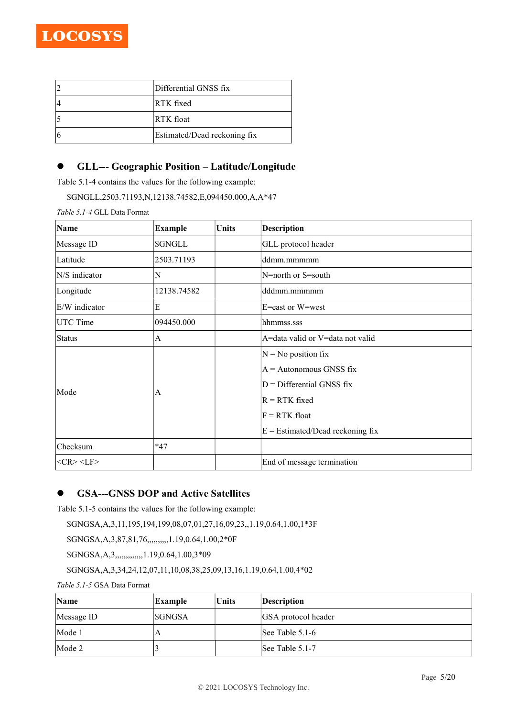| Differential GNSS fix        |
|------------------------------|
| RTK fixed                    |
| RTK float                    |
| Estimated/Dead reckoning fix |

## GLL--- Geographic Position – Latitude/Longitude

Table 5.1-4 contains the values for the following example:

\$GNGLL,2503.71193,N,12138.74582,E,094450.000,A,A\*47

Table 5.1-4 GLL Data Format

| Name            | <b>Example</b> | <b>Units</b> | <b>Description</b>                                                                                                       |
|-----------------|----------------|--------------|--------------------------------------------------------------------------------------------------------------------------|
| Message ID      | \$GNGLL        |              | GLL protocol header                                                                                                      |
| Latitude        | 2503.71193     |              | ddmm.mmmmm                                                                                                               |
| N/S indicator   | N              |              | N=north or S=south                                                                                                       |
| Longitude       | 12138.74582    |              | dddmm.mmmmm                                                                                                              |
| E/W indicator   | E              |              | E=east or W=west                                                                                                         |
| <b>UTC Time</b> | 094450.000     |              | hhmmss.sss                                                                                                               |
| Status          | A              |              | A=data valid or V=data not valid                                                                                         |
| Mode            | A              |              | $ N = No$ position fix<br>$A =$ Autonomous GNSS fix<br>$D =$ Differential GNSS fix<br>$R = RTK$ fixed<br>$F = RTK$ float |
|                 |                |              | $E =$ Estimated/Dead reckoning fix                                                                                       |
| Checksum        | $*47$          |              |                                                                                                                          |
| $<$ CR> $<$ LF> |                |              | End of message termination                                                                                               |

## GSA---GNSS DOP and Active Satellites

Table 5.1-5 contains the values for the following example:

\$GNGSA,A,3,11,195,194,199,08,07,01,27,16,09,23,,1.19,0.64,1.00,1\*3F

\$GNGSA,A,3,87,81,76,,,,,,,,,,1.19,0.64,1.00,2\*0F

\$GNGSA,A,3,,,,,,,,,,,,,1.19,0.64,1.00,3\*09

\$GNGSA,A,3,34,24,12,07,11,10,08,38,25,09,13,16,1.19,0.64,1.00,4\*02

Table 5.1-5 GSA Data Format

| Name       | <b>Example</b> | Units | Description         |
|------------|----------------|-------|---------------------|
| Message ID | <b>SGNGSA</b>  |       | GSA protocol header |
| Mode 1     | A              |       | See Table $5.1-6$   |
| Mode 2     |                |       | See Table 5.1-7     |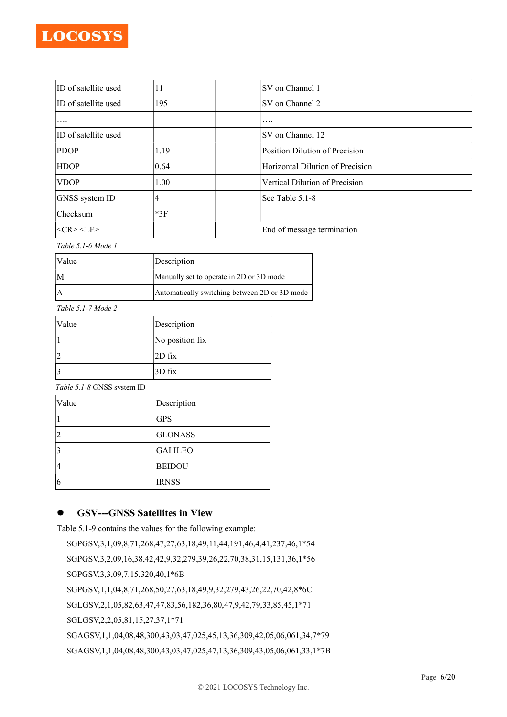| ID of satellite used | 11    | ISV on Channel 1                 |
|----------------------|-------|----------------------------------|
| ID of satellite used | 195   | ISV on Channel 2                 |
| $\cdots$             |       | $\cdots$                         |
| ID of satellite used |       | SV on Channel 12                 |
| <b>PDOP</b>          | 1.19  | Position Dilution of Precision   |
| <b>HDOP</b>          | 0.64  | Horizontal Dilution of Precision |
| <b>NDOP</b>          | 1.00  | Vertical Dilution of Precision   |
| GNSS system ID       | 4     | See Table 5.1-8                  |
| Checksum             | $*3F$ |                                  |
| $<$ CR> $<$ LF>      |       | End of message termination       |

Table 5.1-6 Mode 1

| <i>Nalue</i> | Description                                   |  |
|--------------|-----------------------------------------------|--|
|              | Manually set to operate in 2D or 3D mode      |  |
|              | Automatically switching between 2D or 3D mode |  |

Table 5.1-7 Mode 2

| <i>Nalue</i> | Description     |
|--------------|-----------------|
|              | No position fix |
|              | $2D$ fix        |
|              | $3D$ fix        |

Table 5.1-8 GNSS system ID

| Value | Description    |
|-------|----------------|
|       | <b>GPS</b>     |
|       | <b>GLONASS</b> |
|       | <b>GALILEO</b> |
| 14    | <b>BEIDOU</b>  |
| 6     | <b>IRNSS</b>   |

## GSV---GNSS Satellites in View

Table 5.1-9 contains the values for the following example:

\$GPGSV,3,1,09,8,71,268,47,27,63,18,49,11,44,191,46,4,41,237,46,1\*54 \$GPGSV,3,2,09,16,38,42,42,9,32,279,39,26,22,70,38,31,15,131,36,1\*56 \$GPGSV,3,3,09,7,15,320,40,1\*6B \$GPGSV,1,1,04,8,71,268,50,27,63,18,49,9,32,279,43,26,22,70,42,8\*6C \$GLGSV,2,1,05,82,63,47,47,83,56,182,36,80,47,9,42,79,33,85,45,1\*71 \$GLGSV,2,2,05,81,15,27,37,1\*71 \$GAGSV,1,1,04,08,48,300,43,03,47,025,45,13,36,309,42,05,06,061,34,7\*79 \$GAGSV,1,1,04,08,48,300,43,03,47,025,47,13,36,309,43,05,06,061,33,1\*7B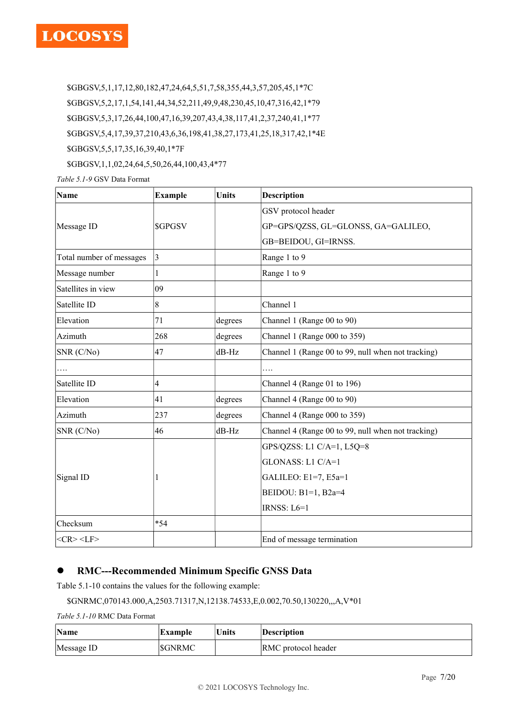\$GBGSV,5,1,17,12,80,182,47,24,64,5,51,7,58,355,44,3,57,205,45,1\*7C \$GBGSV,5,2,17,1,54,141,44,34,52,211,49,9,48,230,45,10,47,316,42,1\*79 \$GBGSV,5,3,17,26,44,100,47,16,39,207,43,4,38,117,41,2,37,240,41,1\*77 \$GBGSV,5,4,17,39,37,210,43,6,36,198,41,38,27,173,41,25,18,317,42,1\*4E \$GBGSV,5,5,17,35,16,39,40,1\*7F

\$GBGSV,1,1,02,24,64,5,50,26,44,100,43,4\*77

Table 5.1-9 GSV Data Format

| <b>Name</b>              | <b>Example</b>          | Units   | <b>Description</b>                                 |  |
|--------------------------|-------------------------|---------|----------------------------------------------------|--|
|                          |                         |         | GSV protocol header                                |  |
| Message ID               | <b>SGPGSV</b>           |         | GP=GPS/QZSS, GL=GLONSS, GA=GALILEO,                |  |
|                          |                         |         | GB=BEIDOU, GI=IRNSS.                               |  |
| Total number of messages | 3                       |         | Range 1 to 9                                       |  |
| Message number           | $\mathbf{1}$            |         | Range 1 to 9                                       |  |
| Satellites in view       | 09                      |         |                                                    |  |
| Satellite ID             | 8                       |         | Channel 1                                          |  |
| Elevation                | 71                      | degrees | Channel 1 (Range 00 to 90)                         |  |
| Azimuth                  | 268                     | degrees | Channel 1 (Range 000 to 359)                       |  |
| SNR (C/No)               | 47                      | dB-Hz   | Channel 1 (Range 00 to 99, null when not tracking) |  |
| .                        |                         |         | .                                                  |  |
| Satellite ID             | $\overline{\mathbf{4}}$ |         | Channel 4 (Range 01 to 196)                        |  |
| Elevation                | 41                      | degrees | Channel 4 (Range 00 to 90)                         |  |
| Azimuth                  | 237                     | degrees | Channel 4 (Range 000 to 359)                       |  |
| SNR (C/No)               | 46                      | dB-Hz   | Channel 4 (Range 00 to 99, null when not tracking) |  |
|                          |                         |         | GPS/QZSS: L1 C/A=1, L5Q=8                          |  |
|                          |                         |         | GLONASS: L1 C/A=1                                  |  |
| Signal ID                |                         |         | GALILEO: E1=7, E5a=1                               |  |
|                          |                         |         | BEIDOU: B1=1, B2a=4                                |  |
|                          |                         |         | IRNSS: $L6=1$                                      |  |
| Checksum                 | $*54$                   |         |                                                    |  |
| $<$ CR> $<$ LF>          |                         |         | End of message termination                         |  |

## RMC---Recommended Minimum Specific GNSS Data

Table 5.1-10 contains the values for the following example:

### \$GNRMC,070143.000,A,2503.71317,N,12138.74533,E,0.002,70.50,130220,,,A,V\*01

Table 5.1-10 RMC Data Format

| Name       | Example       | Units | Description         |
|------------|---------------|-------|---------------------|
| Message ID | <b>SGNRMC</b> |       | RMC protocol header |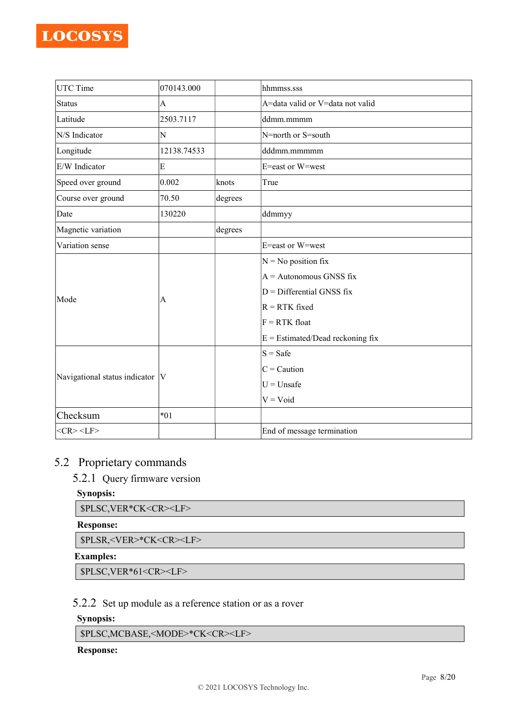| UTC Time                        | 070143.000  |         | hhmmss.sss                         |  |  |
|---------------------------------|-------------|---------|------------------------------------|--|--|
| Status                          | A           |         | A=data valid or V=data not valid   |  |  |
| Latitude                        | 2503.7117   |         | ddmm.mmmm                          |  |  |
| N/S Indicator                   | N           |         | N=north or S=south                 |  |  |
| Longitude                       | 12138.74533 |         | dddmm.mmmmm                        |  |  |
| E/W Indicator                   | E           |         | E=east or W=west                   |  |  |
| Speed over ground               | 0.002       | knots   | True                               |  |  |
| Course over ground              | 70.50       | degrees |                                    |  |  |
| Date                            | 130220      |         | ddmmyy                             |  |  |
| Magnetic variation              |             | degrees |                                    |  |  |
| Variation sense                 |             |         | E=east or W=west                   |  |  |
|                                 |             |         | $N = No$ position fix              |  |  |
|                                 |             |         | $A =$ Autonomous GNSS fix          |  |  |
| Mode                            | A           |         | $D =$ Differential GNSS fix        |  |  |
|                                 |             |         | $R = RTK$ fixed                    |  |  |
|                                 |             |         | $F = RTK$ float                    |  |  |
|                                 |             |         | $E =$ Estimated/Dead reckoning fix |  |  |
|                                 |             |         | $S = Safe$                         |  |  |
|                                 |             |         | $C =$ Caution                      |  |  |
| Navigational status indicator V |             |         | $U = Unsafe$                       |  |  |
|                                 |             |         | $V = V$ oid                        |  |  |
| Checksum                        | $*01$       |         |                                    |  |  |
| $<$ CR> $<$ LF>                 |             |         | End of message termination         |  |  |

# 5.2 Proprietary commands

5.2.1 Query firmware version

### Synopsis:

\$PLSC,VER\*CK<CR><LF>

#### Response:

\$PLSR,<VER>\*CK<CR><LF>

#### Examples:

\$PLSC,VER\*61<CR><LF>

## 5.2.2 Set up module as a reference station or as a rover

## Synopsis:

\$PLSC,MCBASE,<MODE>\*CK<CR><LF>

### Response: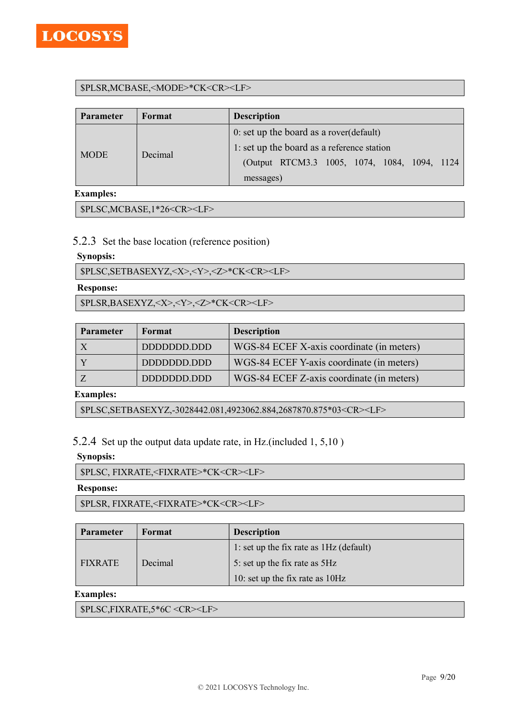

#### \$PLSR,MCBASE,<MODE>\*CK<CR><LF>

| <b>Parameter</b> | Format  | <b>Description</b>                            |  |  |  |
|------------------|---------|-----------------------------------------------|--|--|--|
|                  |         | 0: set up the board as a rover (default)      |  |  |  |
|                  |         | 1: set up the board as a reference station    |  |  |  |
| <b>MODE</b>      | Decimal | (Output RTCM3.3 1005, 1074, 1084, 1094, 1124) |  |  |  |
|                  |         | messages)                                     |  |  |  |

#### Examples:

\$PLSC,MCBASE,1\*26<CR><LF>

#### 5.2.3 Set the base location (reference position)

#### Synopsis:

\$PLSC,SETBASEXYZ,<X>,<Y>,<Z>\*CK<CR><LF>

#### Response:

\$PLSR,BASEXYZ,<X>,<Y>,<Z>\*CK<CR><LF>

| <b>Parameter</b> | Format      | <b>Description</b>                        |
|------------------|-------------|-------------------------------------------|
|                  | DDDDDDD.DDD | WGS-84 ECEF X-axis coordinate (in meters) |
|                  |             | WGS-84 ECEF Y-axis coordinate (in meters) |
|                  | DDDDDDD.DDD | WGS-84 ECEF Z-axis coordinate (in meters) |

#### Examples:

\$PLSC,SETBASEXYZ,-3028442.081,4923062.884,2687870.875\*03<CR><LF>

5.2.4 Set up the output data update rate, in Hz.(included 1, 5,10 )

#### Synopsis:

\$PLSC, FIXRATE,<FIXRATE>\*CK<CR><LF>

#### Response:

\$PLSR, FIXRATE,<FIXRATE>\*CK<CR><LF>

| <b>Parameter</b> | Format  | <b>Description</b>                      |  |  |
|------------------|---------|-----------------------------------------|--|--|
|                  |         | 1: set up the fix rate as 1Hz (default) |  |  |
| <b>FIXRATE</b>   | Decimal | 5: set up the fix rate as 5Hz           |  |  |
|                  |         | 10: set up the fix rate as 10Hz         |  |  |

#### Examples:

\$PLSC,FIXRATE,5\*6C <CR><LF>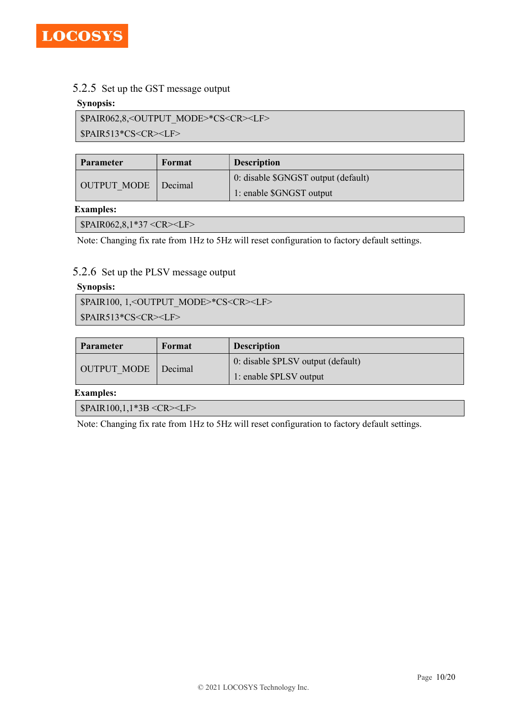

#### 5.2.5 Set up the GST message output

#### Synopsis:

\$PAIR062,8,<OUTPUT\_MODE>\*CS<CR><LF>

\$PAIR513\*CS<CR><LF>

| <b>Parameter</b> | Format  | <b>Description</b>                  |  |  |
|------------------|---------|-------------------------------------|--|--|
| OUTPUT MODE      |         | 0: disable \$GNGST output (default) |  |  |
|                  | Decimal | 1: enable \$GNGST output            |  |  |

#### Examples:

\$PAIR062,8,1\*37 <CR><LF>

Note: Changing fix rate from 1Hz to 5Hz will reset configuration to factory default settings.

#### 5.2.6 Set up the PLSV message output

#### Synopsis:

\$PAIR100, 1,<OUTPUT\_MODE>\*CS<CR><LF> \$PAIR513\*CS<CR><LF>

| <b>Parameter</b> | Format  | <b>Description</b>                 |  |  |
|------------------|---------|------------------------------------|--|--|
| OUTPUT MODE      |         | 0: disable \$PLSV output (default) |  |  |
|                  | Decimal | 1: enable \$PLSV output            |  |  |

Examples:

\$PAIR100,1,1\*3B <CR><LF>

Note: Changing fix rate from 1Hz to 5Hz will reset configuration to factory default settings.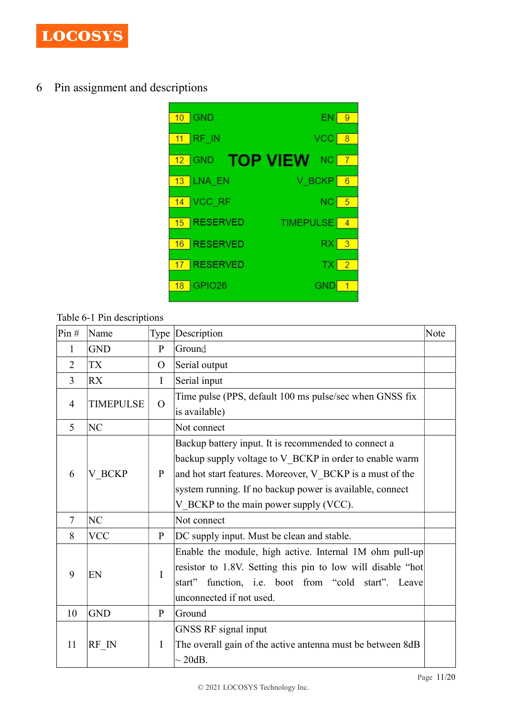

6 Pin assignment and descriptions



Table 6-1 Pin descriptions

| Pin#           | Name             |                | Type Description                                            | Note |
|----------------|------------------|----------------|-------------------------------------------------------------|------|
| 1              | <b>GND</b>       | $\mathbf{P}$   | Ground                                                      |      |
| $\overline{2}$ | TX               | $\mathcal{O}$  | Serial output                                               |      |
| $\overline{3}$ | <b>RX</b>        | I              | Serial input                                                |      |
| 4              | <b>TIMEPULSE</b> | $\overline{O}$ | Time pulse (PPS, default 100 ms pulse/sec when GNSS fix     |      |
|                |                  |                | is available)                                               |      |
| 5              | NC               |                | Not connect                                                 |      |
|                |                  |                | Backup battery input. It is recommended to connect a        |      |
|                |                  |                | backup supply voltage to V BCKP in order to enable warm     |      |
| 6              | V_BCKP           | $\mathbf{P}$   | and hot start features. Moreover, V BCKP is a must of the   |      |
|                |                  |                | system running. If no backup power is available, connect    |      |
|                |                  |                | V_BCKP to the main power supply (VCC).                      |      |
| $\tau$         | NC               |                | Not connect                                                 |      |
| 8              | <b>VCC</b>       | P              | DC supply input. Must be clean and stable.                  |      |
|                |                  |                | Enable the module, high active. Internal 1M ohm pull-up     |      |
| 9              | EN               | $\mathbf{I}$   | resistor to 1.8V. Setting this pin to low will disable "hot |      |
|                |                  |                | function, i.e. boot from "cold start". Leave<br>start"      |      |
|                |                  |                | unconnected if not used.                                    |      |
| 10             | <b>GND</b>       | $\mathbf{P}$   | Ground                                                      |      |
|                |                  |                | <b>GNSS RF</b> signal input                                 |      |
| 11             | RF IN            | I              | The overall gain of the active antenna must be between 8dB  |      |
|                |                  |                | $\sim$ 20dB.                                                |      |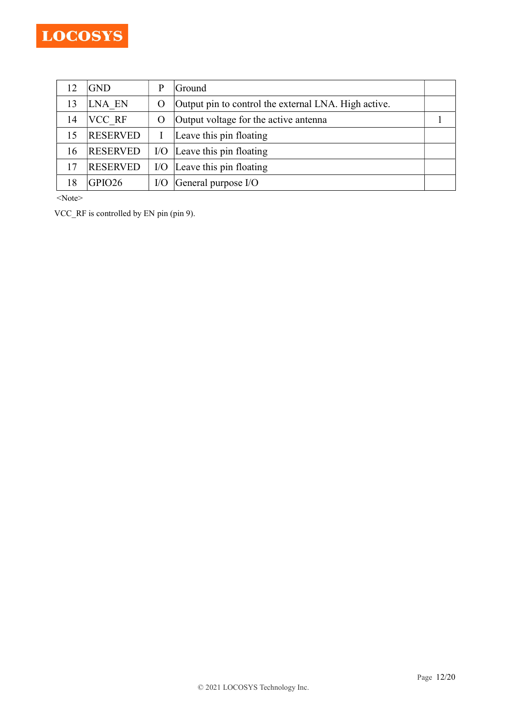|    | IGND            | p   | Ground                                               |  |
|----|-----------------|-----|------------------------------------------------------|--|
| 13 | LNA EN          | О   | Output pin to control the external LNA. High active. |  |
| 14 | <b>VCC RF</b>   | O   | Output voltage for the active antenna                |  |
| 15 | <b>RESERVED</b> |     | Leave this pin floating                              |  |
| 16 | <b>RESERVED</b> | I/O | Leave this pin floating                              |  |
|    | <b>RESERVED</b> | I/O | Leave this pin floating                              |  |
|    | GPIO26          | I/O | General purpose I/O                                  |  |

<Note>

VCC\_RF is controlled by EN pin (pin 9).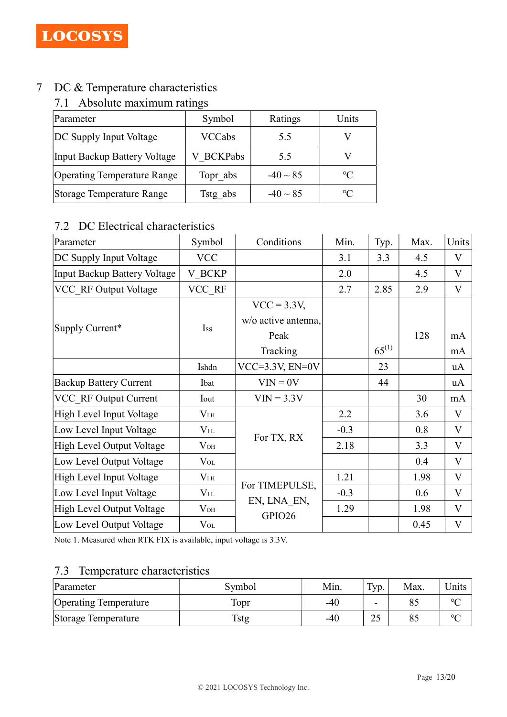# 7 DC & Temperature characteristics

# 7.1 Absolute maximum ratings

| Parameter                          | Symbol        | Ratings       | Units           |
|------------------------------------|---------------|---------------|-----------------|
| DC Supply Input Voltage            | <b>VCCabs</b> | 5.5           |                 |
| Input Backup Battery Voltage       | V BCKPabs     | 5.5           |                 |
| <b>Operating Temperature Range</b> | Topr abs      | $-40 \sim 85$ | $\rm ^{\circ}C$ |
| Storage Temperature Range          | Tstg abs      | $-40 \sim 85$ | $\rm ^{\circ}C$ |

# 7.2 DC Electrical characteristics

| Parameter                     | Symbol        | Conditions          | Min.   | Typ.       | Max. | Units        |
|-------------------------------|---------------|---------------------|--------|------------|------|--------------|
| DC Supply Input Voltage       | <b>VCC</b>    |                     | 3.1    | 3.3        | 4.5  | $\mathbf{V}$ |
| Input Backup Battery Voltage  | <b>V BCKP</b> |                     | 2.0    |            | 4.5  | V            |
| VCC RF Output Voltage         | VCC RF        |                     | 2.7    | 2.85       | 2.9  | V            |
| Supply Current*               | Iss           | $VCC = 3.3V,$       |        |            |      |              |
|                               |               | w/o active antenna, |        |            |      |              |
|                               |               | Peak                |        |            | 128  | mA           |
|                               |               | Tracking            |        | $65^{(1)}$ |      | mA           |
|                               | Ishdn         | $VCC=3.3V, EN=0V$   |        | 23         |      | uA           |
| <b>Backup Battery Current</b> | Ibat          | $VIN = 0V$          |        | 44         |      | uA           |
| VCC RF Output Current         | Iout          | $VIN = 3.3V$        |        |            | 30   | mA           |
| High Level Input Voltage      | $V_{\rm IH}$  |                     | 2.2    |            | 3.6  | V            |
| Low Level Input Voltage       | $V_{\rm IL}$  |                     | $-0.3$ |            | 0.8  | V            |
| High Level Output Voltage     | $V_{OH}$      | For TX, RX          | 2.18   |            | 3.3  | V            |
| Low Level Output Voltage      | $V_{OL}$      |                     |        |            | 0.4  | V            |
| High Level Input Voltage      | $V_{\rm IH}$  |                     | 1.21   |            | 1.98 | V            |
| Low Level Input Voltage       | $V_{\rm IL}$  | For TIMEPULSE,      | $-0.3$ |            | 0.6  | V            |
| High Level Output Voltage     | $V_{OH}$      | EN, LNA EN,         | 1.29   |            | 1.98 | V            |
| Low Level Output Voltage      | $V_{OL}$      | GPIO26              |        |            | 0.45 | $\mathbf{V}$ |

Note 1. Measured when RTK FIX is available, input voltage is 3.3V.

# 7.3 Temperature characteristics

| Parameter                    | Symbol | Min.  | Typ.     | Max. | <sup>I</sup> Jnits |
|------------------------------|--------|-------|----------|------|--------------------|
| <b>Operating Temperature</b> | Topr   | -40   | -        | 85   | $\sim$             |
| Storage Temperature          | Tstg   | $-40$ | つく<br>∠~ | 85   | $\sim$             |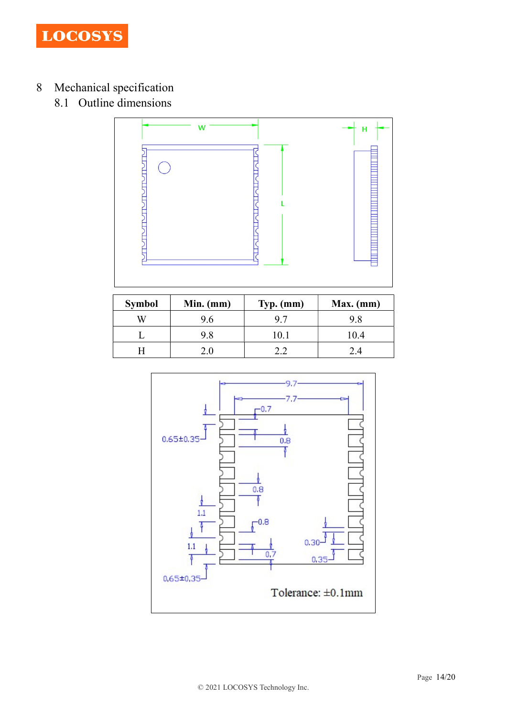

- 8 Mechanical specification
	- 8.1 Outline dimensions



| <b>Symbol</b> | $Min.$ (mm) | $Typ.$ (mm) | $Max.$ (mm) |
|---------------|-------------|-------------|-------------|
|               | 9.6         | 9.7         | 9.8         |
|               | 9.8         | 10.1        | 10.4        |
|               |             |             | 2.4         |

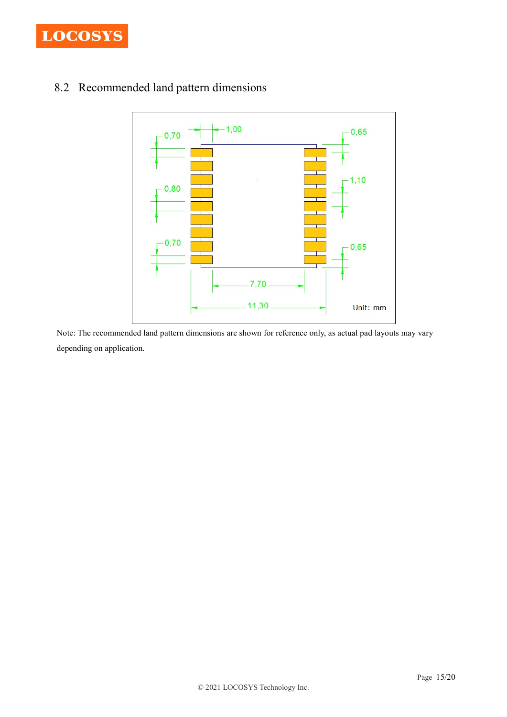

# 8.2 Recommended land pattern dimensions



Note: The recommended land pattern dimensions are shown for reference only, as actual pad layouts may vary depending on application.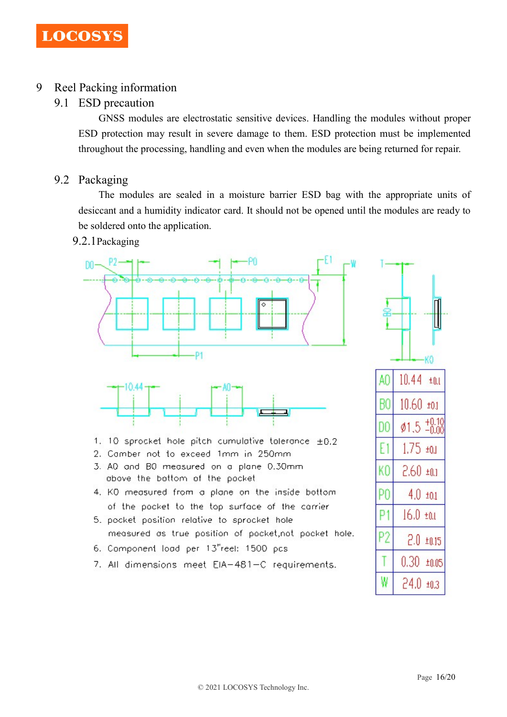# 9 Reel Packing information

## 9.1 ESD precaution

GNSS modules are electrostatic sensitive devices. Handling the modules without proper ESD protection may result in severe damage to them. ESD protection must be implemented throughout the processing, handling and even when the modules are being returned for repair.

## 9.2 Packaging

The modules are sealed in a moisture barrier ESD bag with the appropriate units of desiccant and a humidity indicator card. It should not be opened until the modules are ready to be soldered onto the application.

## 9.2.1Packaging



 $24.0 \pm 0.3$ 

W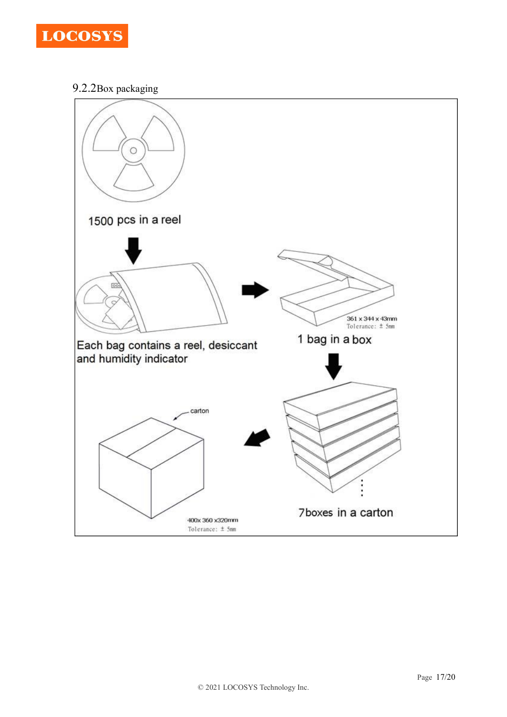

9.2.2Box packaging

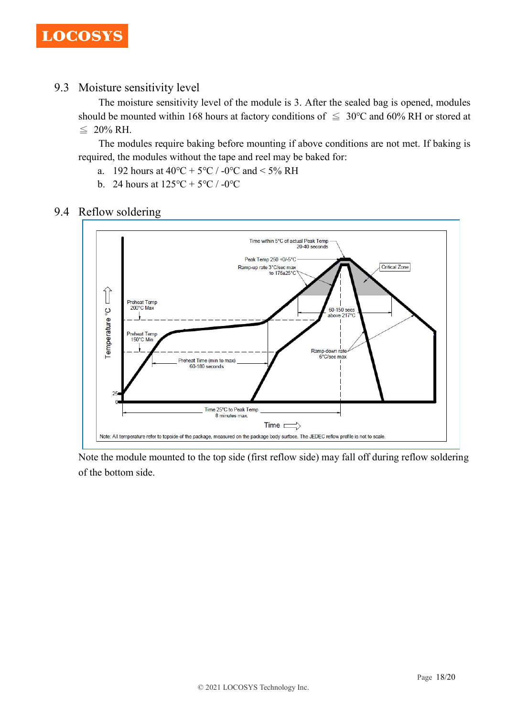## 9.3 Moisture sensitivity level

The moisture sensitivity level of the module is 3. After the sealed bag is opened, modules should be mounted within 168 hours at factory conditions of  $\leq 30^{\circ}$ C and 60% RH or stored at  $≤$  20% RH.

The modules require baking before mounting if above conditions are not met. If baking is required, the modules without the tape and reel may be baked for:

- a. 192 hours at  $40^{\circ}\text{C} + 5^{\circ}\text{C}$  / -0°C and < 5% RH
- b. 24 hours at  $125^{\circ}C + 5^{\circ}C / -0^{\circ}C$

## 9.4 Reflow soldering



Note the module mounted to the top side (first reflow side) may fall off during reflow soldering of the bottom side.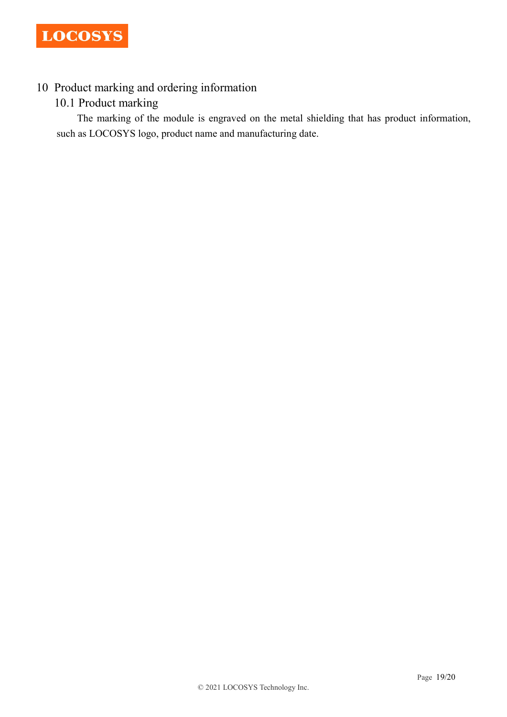# 10 Product marking and ordering information

# 10.1 Product marking

The marking of the module is engraved on the metal shielding that has product information, such as LOCOSYS logo, product name and manufacturing date.